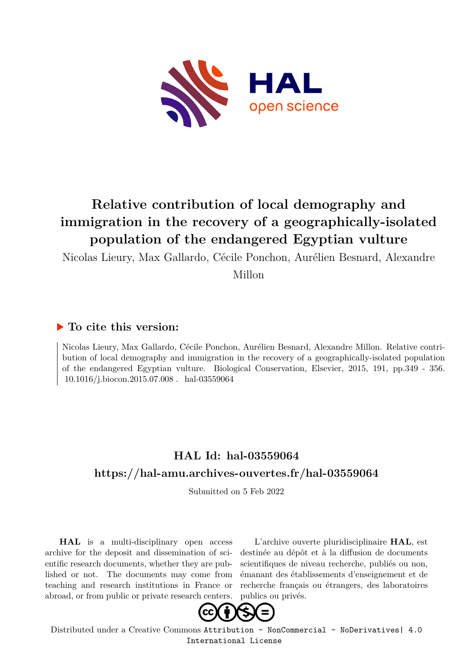

# **Relative contribution of local demography and immigration in the recovery of a geographically-isolated population of the endangered Egyptian vulture**

Nicolas Lieury, Max Gallardo, Cécile Ponchon, Aurélien Besnard, Alexandre

Millon

### **To cite this version:**

Nicolas Lieury, Max Gallardo, Cécile Ponchon, Aurélien Besnard, Alexandre Millon. Relative contribution of local demography and immigration in the recovery of a geographically-isolated population of the endangered Egyptian vulture. Biological Conservation, Elsevier, 2015, 191, pp.349 - 356.  $10.1016/\mathrm{i}.\mathrm{biocon.2015.07.008}$  .  $\,$  hal-03559064

# **HAL Id: hal-03559064 <https://hal-amu.archives-ouvertes.fr/hal-03559064>**

Submitted on 5 Feb 2022

**HAL** is a multi-disciplinary open access archive for the deposit and dissemination of scientific research documents, whether they are published or not. The documents may come from teaching and research institutions in France or abroad, or from public or private research centers.

L'archive ouverte pluridisciplinaire **HAL**, est destinée au dépôt et à la diffusion de documents scientifiques de niveau recherche, publiés ou non, émanant des établissements d'enseignement et de recherche français ou étrangers, des laboratoires publics ou privés.



Distributed under a Creative Commons [Attribution - NonCommercial - NoDerivatives| 4.0](http://creativecommons.org/licenses/by-nc-nd/4.0/) [International License](http://creativecommons.org/licenses/by-nc-nd/4.0/)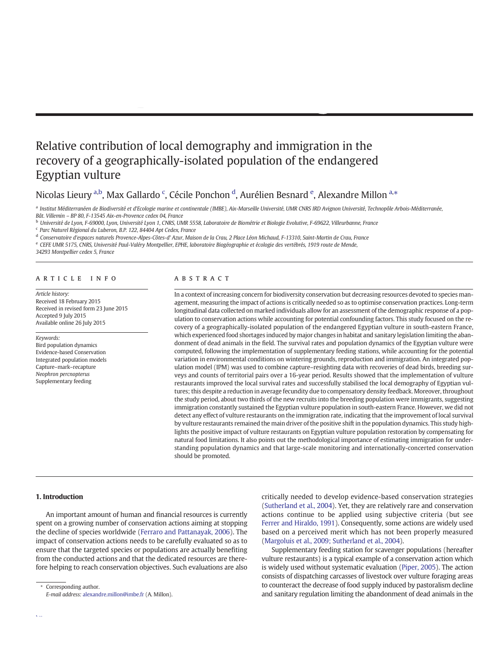## Relative contribution of local demography and immigration in the recovery of a geographically-isolated population of the endangered Egyptian vulture

Nicolas Lieury <sup>a,b</sup>, Max Gallardo <sup>c</sup>, Cécile Ponchon <sup>d</sup>, Aurélien Besnard <sup>e</sup>, Alexandre Millon <sup>a,\*</sup>

a Institut Méditerranéen de Biodiversité et d'Ecologie marine et continentale (IMBE), Aix-Marseille Université, UMR CNRS IRD Avignon Université, Technopôle Arbois-Méditerranée, Bât. Villemin – BP 80, F-13545 Aix-en-Provence cedex 04, France

<sup>b</sup> Université de Lyon, F-69000, Lyon, Université Lyon 1, CNRS, UMR 5558, Laboratoire de Biométrie et Biologie Evolutive, F-69622, Villeurbanne, France

<sup>c</sup> Parc Naturel Régional du Luberon, B.P. 122, 84404 Apt Cedex, France

<sup>d</sup> Conservatoire d'espaces naturels Provence-Alpes-Côtes-d' Azur, Maison de la Crau, 2 Place Léon Michaud, F-13310, Saint-Martin de Crau, France

<sup>e</sup> CEFE UMR 5175, CNRS, Université Paul-Valéry Montpellier, EPHE, laboratoire Biogéographie et écologie des vertébrés, 1919 route de Mende,

34293 Montpellier cedex 5, France

#### article info abstract

Article history: Received 18 February 2015 Received in revised form 23 June 2015 Accepted 9 July 2015 Available online 26 July 2015

#### Keywords:

Bird population dynamics Evidence-based Conservation Integrated population models Capture–mark–recapture Neophron percnopterus Supplementary feeding

In a context of increasing concern for biodiversity conservation but decreasing resources devoted to species management, measuring the impact of actions is critically needed so as to optimise conservation practices. Long-term longitudinal data collected on marked individuals allow for an assessment of the demographic response of a population to conservation actions while accounting for potential confounding factors. This study focused on the recovery of a geographically-isolated population of the endangered Egyptian vulture in south-eastern France, which experienced food shortages induced by major changes in habitat and sanitary legislation limiting the abandonment of dead animals in the field. The survival rates and population dynamics of the Egyptian vulture were computed, following the implementation of supplementary feeding stations, while accounting for the potential variation in environmental conditions on wintering grounds, reproduction and immigration. An integrated population model (IPM) was used to combine capture–resighting data with recoveries of dead birds, breeding surveys and counts of territorial pairs over a 16-year period. Results showed that the implementation of vulture restaurants improved the local survival rates and successfully stabilised the local demography of Egyptian vultures; this despite a reduction in average fecundity due to compensatory density feedback. Moreover, throughout the study period, about two thirds of the new recruits into the breeding population were immigrants, suggesting immigration constantly sustained the Egyptian vulture population in south-eastern France. However, we did not detect any effect of vulture restaurants on the immigration rate, indicating that the improvement of local survival by vulture restaurants remained the main driver of the positive shift in the population dynamics. This study highlights the positive impact of vulture restaurants on Egyptian vulture population restoration by compensating for natural food limitations. It also points out the methodological importance of estimating immigration for understanding population dynamics and that large-scale monitoring and internationally-concerted conservation should be promoted.

#### 1. Introduction

An important amount of human and financial resources is currently spent on a growing number of conservation actions aiming at stopping the decline of species worldwide (Ferraro and Pattanayak, 2006). The impact of conservation actions needs to be carefully evaluated so as to ensure that the targeted species or populations are actually benefiting from the conducted actions and that the dedicated resources are therefore helping to reach conservation objectives. Such evaluations are also

Corresponding author. E-mail address: [alexandre.millon@imbe.fr](mailto:alexandre.millon@imbe.fr) (A. Millon). critically needed to develop evidence-based conservation strategies (Sutherland et al., 2004). Yet, they are relatively rare and conservation actions continue to be applied using subjective criteria (but see Ferrer and Hiraldo, 1991). Consequently, some actions are widely used based on a perceived merit which has not been properly measured (Margoluis et al., 2009; Sutherland et al., 2004).

Supplementary feeding station for scavenger populations (hereafter vulture restaurants) is a typical example of a conservation action which is widely used without systematic evaluation (Piper, 2005). The action consists of dispatching carcasses of livestock over vulture foraging areas to counteract the decrease of food supply induced by pastoralism decline and sanitary regulation limiting the abandonment of dead animals in the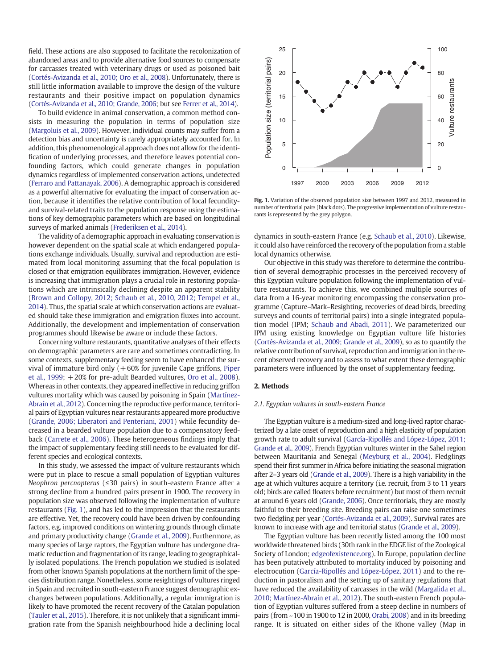field. These actions are also supposed to facilitate the recolonization of abandoned areas and to provide alternative food sources to compensate for carcasses treated with veterinary drugs or used as poisoned bait (Cortés-Avizanda et al., 2010; Oro et al., 2008). Unfortunately, there is still little information available to improve the design of the vulture restaurants and their positive impact on population dynamics (Cortés-Avizanda et al., 2010; Grande, 2006; but see Ferrer et al., 2014).

To build evidence in animal conservation, a common method consists in measuring the population in terms of population size (Margoluis et al., 2009). However, individual counts may suffer from a detection bias and uncertainty is rarely appropriately accounted for. In addition, this phenomenological approach does not allow for the identification of underlying processes, and therefore leaves potential confounding factors, which could generate changes in population dynamics regardless of implemented conservation actions, undetected (Ferraro and Pattanayak, 2006). A demographic approach is considered as a powerful alternative for evaluating the impact of conservation action, because it identifies the relative contribution of local fecundityand survival-related traits to the population response using the estimations of key demographic parameters which are based on longitudinal surveys of marked animals (Frederiksen et al., 2014).

The validity of a demographic approach in evaluating conservation is however dependent on the spatial scale at which endangered populations exchange individuals. Usually, survival and reproduction are estimated from local monitoring assuming that the focal population is closed or that emigration equilibrates immigration. However, evidence is increasing that immigration plays a crucial role in restoring populations which are intrinsically declining despite an apparent stability (Brown and Collopy, 2012; Schaub et al., 2010, 2012; Tempel et al., 2014). Thus, the spatial scale at which conservation actions are evaluated should take these immigration and emigration fluxes into account. Additionally, the development and implementation of conservation programmes should likewise be aware or include these factors.

Concerning vulture restaurants, quantitative analyses of their effects on demographic parameters are rare and sometimes contradicting. In some contexts, supplementary feeding seem to have enhanced the survival of immature bird only  $(+60\%)$  for juvenile Cape griffons, Piper et al., 1999;  $+20\%$  for pre-adult Bearded vultures, Oro et al., 2008). Whereas in other contexts, they appeared ineffective in reducing griffon vultures mortality which was caused by poisoning in Spain (Martínez-Abraín et al., 2012). Concerning the reproductive performance, territorial pairs of Egyptian vultures near restaurants appeared more productive (Grande, 2006; Liberatori and Penteriani, 2001) while fecundity decreased in a bearded vulture population due to a compensatory feedback (Carrete et al., 2006). These heterogeneous findings imply that the impact of supplementary feeding still needs to be evaluated for different species and ecological contexts.

In this study, we assessed the impact of vulture restaurants which were put in place to rescue a small population of Egyptian vultures Neophron percnopterus (≤30 pairs) in south-eastern France after a strong decline from a hundred pairs present in 1900. The recovery in population size was observed following the implementation of vulture restaurants (Fig. 1), and has led to the impression that the restaurants are effective. Yet, the recovery could have been driven by confounding factors, e.g. improved conditions on wintering grounds through climate and primary productivity change (Grande et al., 2009). Furthermore, as many species of large raptors, the Egyptian vulture has undergone dramatic reduction and fragmentation of its range, leading to geographically isolated populations. The French population we studied is isolated from other known Spanish populations at the northern limit of the species distribution range. Nonetheless, some resightings of vultures ringed in Spain and recruited in south-eastern France suggest demographic exchanges between populations. Additionally, a regular immigration is likely to have promoted the recent recovery of the Catalan population (Tauler et al., 2015). Therefore, it is not unlikely that a significant immigration rate from the Spanish neighbourhood hide a declining local



Fig. 1. Variation of the observed population size between 1997 and 2012, measured in number of territorial pairs (black dots). The progressive implementation of vulture restaurants is represented by the grey polygon.

dynamics in south-eastern France (e.g. Schaub et al., 2010). Likewise, it could also have reinforced the recovery of the population from a stable local dynamics otherwise.

Our objective in this study was therefore to determine the contribution of several demographic processes in the perceived recovery of this Egyptian vulture population following the implementation of vulture restaurants. To achieve this, we combined multiple sources of data from a 16-year monitoring encompassing the conservation programme (Capture–Mark–Resighting, recoveries of dead birds, breeding surveys and counts of territorial pairs) into a single integrated population model (IPM; Schaub and Abadi, 2011). We parameterized our IPM using existing knowledge on Egyptian vulture life histories (Cortés-Avizanda et al., 2009; Grande et al., 2009), so as to quantify the relative contribution of survival, reproduction and immigration in the recent observed recovery and to assess to what extent these demographic parameters were influenced by the onset of supplementary feeding.

#### 2. Methods

#### 2.1. Egyptian vultures in south-eastern France

The Egyptian vulture is a medium-sized and long-lived raptor characterized by a late onset of reproduction and a high elasticity of population growth rate to adult survival (García-Ripollés and López-López, 2011; Grande et al., 2009). French Egyptian vultures winter in the Sahel region between Mauritania and Senegal (Meyburg et al., 2004). Fledglings spend their first summer in Africa before initiating the seasonal migration after 2–3 years old (Grande et al., 2009). There is a high variability in the age at which vultures acquire a territory (i.e. recruit, from 3 to 11 years old; birds are called floaters before recruitment) but most of them recruit at around 6 years old (Grande, 2006). Once territorials, they are mostly faithful to their breeding site. Breeding pairs can raise one sometimes two fledgling per year (Cortés-Avizanda et al., 2009). Survival rates are known to increase with age and territorial status (Grande et al., 2009).

The Egyptian vulture has been recently listed among the 100 most worldwide threatened birds (30th rank in the EDGE list of the Zoological Society of London; [edgeofexistence.org\)](http://edgeofexistence.org). In Europe, population decline has been putatively attributed to mortality induced by poisoning and electrocution (García-Ripollés and López-López, 2011) and to the reduction in pastoralism and the setting up of sanitary regulations that have reduced the availability of carcasses in the wild (Margalida et al., 2010; Martínez-Abraín et al., 2012). The south-eastern French population of Egyptian vultures suffered from a steep decline in numbers of pairs (from ~100 in 1900 to 12 in 2000, Orabi, 2008) and in its breeding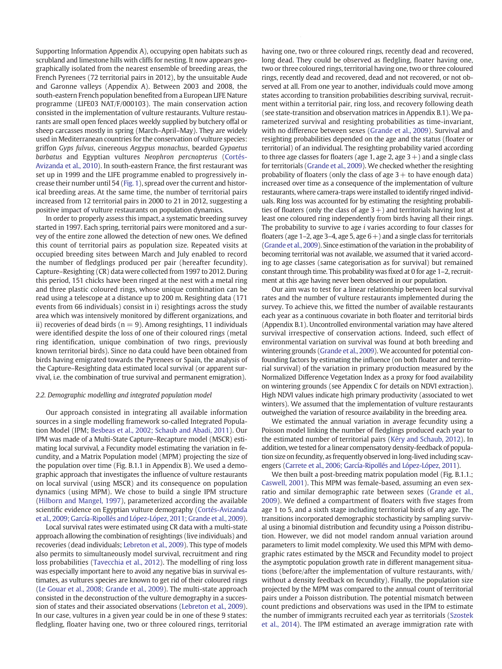Supporting Information Appendix A), occupying open habitats such as scrubland and limestone hills with cliffs for nesting. It now appears geographically isolated from the nearest ensemble of breeding areas, the French Pyrenees (72 territorial pairs in 2012), by the unsuitable Aude and Garonne valleys (Appendix A). Between 2003 and 2008, the south-eastern French population benefited from a European LIFE Nature programme (LIFE03 NAT/F/000103). The main conservation action consisted in the implementation of vulture restaurants. Vulture restaurants are small open fenced places weekly supplied by butchery offal or sheep carcasses mostly in spring (March–April–May). They are widely used in Mediterranean countries for the conservation of vulture species: griffon Gyps fulvus, cinereous Aegypus monachus, bearded Gypaetus barbatus and Egyptian vultures Neophron percnopterus (Cortés-Avizanda et al., 2010). In south-eastern France, the first restaurant was set up in 1999 and the LIFE programme enabled to progressively increase their number until 54 (Fig. 1), spread over the current and historical breeding areas. At the same time, the number of territorial pairs increased from 12 territorial pairs in 2000 to 21 in 2012, suggesting a positive impact of vulture restaurants on population dynamics.

In order to properly assess this impact, a systematic breeding survey started in 1997. Each spring, territorial pairs were monitored and a survey of the entire zone allowed the detection of new ones. We defined this count of territorial pairs as population size. Repeated visits at occupied breeding sites between March and July enabled to record the number of fledglings produced per pair (hereafter fecundity). Capture–Resighting (CR) data were collected from 1997 to 2012. During this period, 151 chicks have been ringed at the nest with a metal ring and three plastic coloured rings, whose unique combination can be read using a telescope at a distance up to 200 m. Resighting data (171 events from 66 individuals) consist in i) resightings across the study area which was intensively monitored by different organizations, and ii) recoveries of dead birds ( $n = 9$ ). Among resightings, 11 individuals were identified despite the loss of one of their coloured rings (metal ring identification, unique combination of two rings, previously known territorial birds). Since no data could have been obtained from birds having emigrated towards the Pyrenees or Spain, the analysis of the Capture–Resighting data estimated local survival (or apparent survival, i.e. the combination of true survival and permanent emigration).

#### 2.2. Demographic modelling and integrated population model

Our approach consisted in integrating all available information sources in a single modelling framework so-called Integrated Population Model (IPM; Besbeas et al., 2002; Schaub and Abadi, 2011). Our IPM was made of a Multi-State Capture–Recapture model (MSCR) estimating local survival, a Fecundity model estimating the variation in fecundity, and a Matrix Population model (MPM) projecting the size of the population over time (Fig. B.1.1 in Appendix B). We used a demographic approach that investigates the influence of vulture restaurants on local survival (using MSCR) and its consequence on population dynamics (using MPM). We chose to build a single IPM structure (Hilborn and Mangel, 1997), parameterized according the available scientific evidence on Egyptian vulture demography (Cortés-Avizanda et al., 2009; García-Ripollés and López-López, 2011; Grande et al., 2009).

Local survival rates were estimated using CR data with a multi-state approach allowing the combination of resightings (live individuals) and recoveries (dead individuals; Lebreton et al., 2009). This type of models also permits to simultaneously model survival, recruitment and ring loss probabilities (Tavecchia et al., 2012). The modelling of ring loss was especially important here to avoid any negative bias in survival estimates, as vultures species are known to get rid of their coloured rings (Le Gouar et al., 2008; Grande et al., 2009). The multi-state approach consisted in the deconstruction of the vulture demography in a succession of states and their associated observations (Lebreton et al., 2009). In our case, vultures in a given year could be in one of these 9 states: fledgling, floater having one, two or three coloured rings, territorial having one, two or three coloured rings, recently dead and recovered, long dead. They could be observed as fledgling, floater having one, two or three coloured rings, territorial having one, two or three coloured rings, recently dead and recovered, dead and not recovered, or not observed at all. From one year to another, individuals could move among states according to transition probabilities describing survival, recruitment within a territorial pair, ring loss, and recovery following death (see state-transition and observation matrices in Appendix B.1). We parameterized survival and resighting probabilities as time-invariant, with no difference between sexes (Grande et al., 2009). Survival and resighting probabilities depended on the age and the status (floater or territorial) of an individual. The resighting probability varied according to three age classes for floaters (age 1, age 2, age  $3+$ ) and a single class for territorials (Grande et al., 2009). We checked whether the resighting probability of floaters (only the class of age  $3+$  to have enough data) increased over time as a consequence of the implementation of vulture restaurants, where camera-traps were installed to identify ringed individuals. Ring loss was accounted for by estimating the resighting probabilities of floaters (only the class of age  $3+$ ) and territorials having lost at least one coloured ring independently from birds having all their rings. The probability to survive to age i varies according to four classes for floaters (age 1–2, age 3–4, age 5, age  $6+$ ) and a single class for territorials (Grande et al., 2009). Since estimation of the variation in the probability of becoming territorial was not available, we assumed that it varied according to age classes (same categorisation as for survival) but remained constant through time. This probability was fixed at 0 for age 1–2, recruitment at this age having never been observed in our population.

N. Lieury et al. / Biological Conservation 191 (2015) 349–356 351

Our aim was to test for a linear relationship between local survival rates and the number of vulture restaurants implemented during the survey. To achieve this, we fitted the number of available restaurants each year as a continuous covariate in both floater and territorial birds (Appendix B.1). Uncontrolled environmental variation may have altered survival irrespective of conservation actions. Indeed, such effect of environmental variation on survival was found at both breeding and wintering grounds (Grande et al., 2009). We accounted for potential confounding factors by estimating the influence (on both floater and territorial survival) of the variation in primary production measured by the Normalized Difference Vegetation Index as a proxy for food availability on wintering grounds (see Appendix C for details on NDVI extraction). High NDVI values indicate high primary productivity (associated to wet winters). We assumed that the implementation of vulture restaurants outweighed the variation of resource availability in the breeding area.

We estimated the annual variation in average fecundity using a Poisson model linking the number of fledglings produced each year to the estimated number of territorial pairs (Kéry and Schaub, 2012). In addition, we tested for a linear compensatory density-feedback of population size on fecundity, as frequently observed in long-lived including scavengers (Carrete et al., 2006; García-Ripollés and López-López, 2011).

We then built a post-breeding matrix population model (Fig. B.1.1.; Caswell, 2001). This MPM was female-based, assuming an even sexratio and similar demographic rate between sexes (Grande et al., 2009). We defined a compartment of floaters with five stages from age 1 to 5, and a sixth stage including territorial birds of any age. The transitions incorporated demographic stochasticity by sampling survival using a binomial distribution and fecundity using a Poisson distribution. However, we did not model random annual variation around parameters to limit model complexity. We used this MPM with demographic rates estimated by the MSCR and Fecundity model to project the asymptotic population growth rate in different management situations (before/after the implementation of vulture restaurants, with/ without a density feedback on fecundity). Finally, the population size projected by the MPM was compared to the annual count of territorial pairs under a Poisson distribution. The potential mismatch between count predictions and observations was used in the IPM to estimate the number of immigrants recruited each year as territorials (Szostek et al., 2014). The IPM estimated an average immigration rate with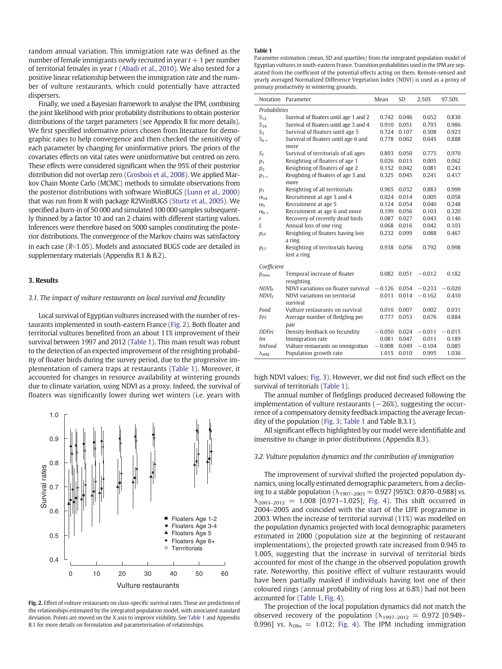random annual variation. This immigration rate was defined as the number of female immigrants newly recruited in year  $t + 1$  per number of territorial females in year  $t$  (Abadi et al., 2010). We also tested for a positive linear relationship between the immigration rate and the number of vulture restaurants, which could potentially have attracted dispersers.

Finally, we used a Bayesian framework to analyse the IPM, combining the joint likelihood with prior probability distributions to obtain posterior distributions of the target parameters (see Appendix B for more details). We first specified informative priors chosen from literature for demographic rates to help convergence and then checked the sensitivity of each parameter by changing for uninformative priors. The priors of the covariates effects on vital rates were uninformative but centred on zero. These effects were considered significant when the 95% of their posterior distribution did not overlap zero (Grosbois et al., 2008). We applied Markov Chain Monte Carlo (MCMC) methods to simulate observations from the posterior distributions with software WinBUGS (Lunn et al., 2000) that was run from R with package R2WinBUGS (Sturtz et al., 2005). We specified a burn-in of 50 000 and simulated 100 000 samples subsequently thinned by a factor 10 and ran 2 chains with different starting values. Inferences were therefore based on 5000 samples constituting the posterior distributions. The convergence of the Markov chains was satisfactory in each case ( $\hat{R}$ <1.05). Models and associated BUGS code are detailed in supplementary materials (Appendix B.1 & B.2).

#### 3. Results

#### 3.1. The impact of vulture restaurants on local survival and fecundity

Local survival of Egyptian vultures increased with the number of restaurants implemented in south-eastern France (Fig. 2). Both floater and territorial vultures benefited from an about 11% improvement of their survival between 1997 and 2012 (Table 1). This main result was robust to the detection of an expected improvement of the resighting probability of floater birds during the survey period, due to the progressive implementation of camera traps at restaurants (Table 1). Moreover, it accounted for changes in resource availability at wintering grounds due to climate variation, using NDVI as a proxy. Indeed, the survival of floaters was significantly lower during wet winters (i.e. years with



Fig. 2. Effect of vulture restaurants on class-specific survival rates. These are predictions of the relationships estimated by the integrated population model, with associated standard deviation. Points are moved on the X axis to improve visibility. See Table 1 and Appendix B.1 for more details on formulation and parameterisation of relationships.

#### Table 1

Parameter estimation (mean, SD and quartiles) from the integrated population model of Egyptian vultures in south-eastern France. Transition probabilities used in the IPM are separated from the coefficient of the potential effects acting on them. Remote-sensed and yearly averaged Normalized Difference Vegetation Index (NDVI) is used as a proxy of primary productivity in wintering grounds.

| Notation             | Parameter                                        | Mean     | <b>SD</b> | 2.50%    | 97.50%   |
|----------------------|--------------------------------------------------|----------|-----------|----------|----------|
| <b>Probabilities</b> |                                                  |          |           |          |          |
| $S_{12}$             | Survival of floaters until age 1 and 2           | 0.742    | 0.046     | 0.652    | 0.830    |
| $S_{34}$             | Survival of floaters until age 3 and 4           | 0.910    | 0.051     | 0.793    | 0.986    |
| $S_5$                | Survival of floaters until age 5                 | 0.724    | 0.107     | 0.508    | 0.923    |
| $S_{6+}$             | Survival of floaters until age 6 and<br>more     | 0.778    | 0.062     | 0.645    | 0.888    |
| $S_T$                | Survival of territorials of all ages             | 0.893    | 0.050     | 0.775    | 0.970    |
| $p_1$                | Resighting of floaters of age 1                  | 0.026    | 0.015     | 0.005    | 0.062    |
| p <sub>2</sub>       | Resighting of floaters of age 2                  | 0.152    | 0.042     | 0.081    | 0.243    |
| $p_{3+}$             | Resighting of floaters of age 3 and<br>more      | 0.325    | 0.045     | 0.241    | 0.417    |
| $p_T$                | Resighting of all territorials                   | 0.965    | 0.032     | 0.883    | 0.999    |
| $\alpha_{34}$        | Recruitment at age 3 and 4                       | 0.024    | 0.014     | 0.005    | 0.058    |
| $\alpha_{5}$         | Recruitment at age 5                             | 0.124    | 0.054     | 0.040    | 0.248    |
| $\alpha_{6+}$        | Recruitment at age 6 and more                    | 0.199    | 0.056     | 0.103    | 0.320    |
| r                    | Recovery of recently dead birds                  | 0.087    | 0.027     | 0.043    | 0.146    |
| L                    | Annual loss of one ring                          | 0.068    | 0.016     | 0.042    | 0.103    |
| $p_{LF}$             | Resighting of floaters having lost<br>a ring     | 0.232    | 0.099     | 0.088    | 0.467    |
| $p_{LT}$             | Resighting of territorials having<br>lost a ring | 0.938    | 0.056     | 0.792    | 0.998    |
| Coefficient          |                                                  |          |           |          |          |
| $p_{time}$           | Temporal increase of floater<br>resighting       | 0.082    | 0.051     | $-0.012$ | 0.182    |
| $NDVI_F$             | NDVI variations on floater survival              | $-0.126$ | 0.054     | $-0.233$ | $-0.020$ |
| $NDVI_T$             | NDVI variations on territorial<br>survival       | 0.011    | 0.014     | $-0.162$ | 0.410    |
| Food                 | Vulture restaurants on survival                  | 0.016    | 0.007     | 0.002    | 0.031    |
| Fec                  | Average number of fledgling per<br>pair          | 0.777    | 0.053     | 0.676    | 0.884    |
| <b>DDFec</b>         | Density feedback on fecundity                    | $-0.050$ | 0.024     | $-0.011$ | $-0.015$ |
| Im                   | Immigration rate                                 | 0.081    | 0.047     | 0.011    | 0.189    |
| <b>ImFood</b>        | Vulture restaurants on immigration               | $-0.008$ | 0.049     | $-0.104$ | 0.085    |
| $\lambda_{IPM}$      | Population growth rate                           | 1.015    | 0.010     | 0.995    | 1.036    |

high NDVI values; Fig. 3). However, we did not find such effect on the survival of territorials (Table 1).

The annual number of fledglings produced decreased following the implementation of vulture restaurants  $(-26%)$ , suggesting the occurrence of a compensatory density feedback impacting the average fecundity of the population (Fig. 3; Table 1 and Table B.3.1).

All significant effects highlighted by our model were identifiable and insensitive to change in prior distributions (Appendix B.3).

#### 3.2. Vulture population dynamics and the contribution of immigration

The improvement of survival shifted the projected population dynamics, using locally estimated demographic parameters, from a declining to a stable population  $(\lambda_{1997-2003} = 0.927$  [95%CI: 0.870-0.988] vs.  $\lambda_{2003-2012}$  = 1.008 [0.971-1.025]; Fig. 4). This shift occurred in 2004–2005 and coincided with the start of the LIFE programme in 2003. When the increase of territorial survival (11%) was modelled on the population dynamics projected with local demographic parameters estimated in 2000 (population size at the beginning of restaurant implementations), the projected growth rate increased from 0.945 to 1.005, suggesting that the increase in survival of territorial birds accounted for most of the change in the observed population growth rate. Noteworthy, this positive effect of vulture restaurants would have been partially masked if individuals having lost one of their coloured rings (annual probability of ring loss at 6.8%) had not been accounted for (Table 1, Fig. 4).

The projection of the local population dynamics did not match the observed recovery of the population  $(\lambda_{1997-2012} = 0.972$  [0.949-0.996] vs.  $\lambda_{\text{Obs}} = 1.012$ ; Fig. 4). The IPM including immigration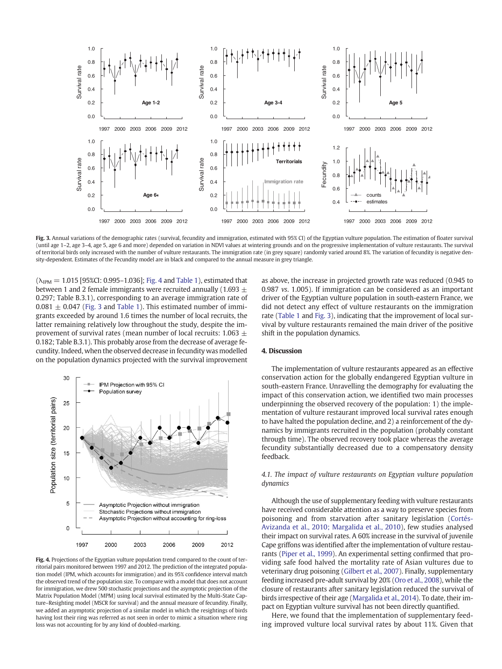

Fig. 3. Annual variations of the demographic rates (survival, fecundity and immigration, estimated with 95% CI) of the Egyptian vulture population. The estimation of floater survival (until age 1–2, age 3–4, age 5, age 6 and more) depended on variation in NDVI values at wintering grounds and on the progressive implementation of vulture restaurants. The survival of territorial birds only increased with the number of vulture restaurants. The immigration rate (in grey square) randomly varied around 8%. The variation of fecundity is negative density-dependent. Estimates of the Fecundity model are in black and compared to the annual measure in grey triangle.

 $(\lambda_{IPM} = 1.015$  [95%CI: 0.995–1.036]; Fig. 4 and Table 1), estimated that between 1 and 2 female immigrants were recruited annually (1.693  $\pm$ 0.297; Table B.3.1), corresponding to an average immigration rate of  $0.081 \pm 0.047$  (Fig. 3 and Table 1). This estimated number of immigrants exceeded by around 1.6 times the number of local recruits, the latter remaining relatively low throughout the study, despite the improvement of survival rates (mean number of local recruits: 1.063  $\pm$ 0.182; Table B.3.1). This probably arose from the decrease of average fecundity. Indeed, when the observed decrease in fecundity was modelled on the population dynamics projected with the survival improvement



Fig. 4. Projections of the Egyptian vulture population trend compared to the count of territorial pairs monitored between 1997 and 2012. The prediction of the integrated population model (IPM, which accounts for immigration) and its 95% confidence interval match the observed trend of the population size. To compare with a model that does not account for immigration, we drew 500 stochastic projections and the asymptotic projection of the Matrix Population Model (MPM) using local survival estimated by the Multi-State Capture–Resighting model (MSCR for survival) and the annual measure of fecundity. Finally, we added an asymptotic projection of a similar model in which the resightings of birds having lost their ring was referred as not seen in order to mimic a situation where ring loss was not accounting for by any kind of doubled-marking.

as above, the increase in projected growth rate was reduced (0.945 to 0.987 vs. 1.005). If immigration can be considered as an important driver of the Egyptian vulture population in south-eastern France, we did not detect any effect of vulture restaurants on the immigration rate (Table 1 and Fig. 3), indicating that the improvement of local survival by vulture restaurants remained the main driver of the positive shift in the population dynamics.

#### 4. Discussion

The implementation of vulture restaurants appeared as an effective conservation action for the globally endangered Egyptian vulture in south-eastern France. Unravelling the demography for evaluating the impact of this conservation action, we identified two main processes underpinning the observed recovery of the population: 1) the implementation of vulture restaurant improved local survival rates enough to have halted the population decline, and 2) a reinforcement of the dynamics by immigrants recruited in the population (probably constant through time). The observed recovery took place whereas the average fecundity substantially decreased due to a compensatory density feedback.

### 4.1. The impact of vulture restaurants on Egyptian vulture population dynamics

Although the use of supplementary feeding with vulture restaurants have received considerable attention as a way to preserve species from poisoning and from starvation after sanitary legislation (Cortés-Avizanda et al., 2010; Margalida et al., 2010), few studies analysed their impact on survival rates. A 60% increase in the survival of juvenile Cape griffons was identified after the implementation of vulture restaurants (Piper et al., 1999). An experimental setting confirmed that providing safe food halved the mortality rate of Asian vultures due to veterinary drug poisoning (Gilbert et al., 2007). Finally, supplementary feeding increased pre-adult survival by 20% (Oro et al., 2008), while the closure of restaurants after sanitary legislation reduced the survival of birds irrespective of their age (Margalida et al., 2014). To date, their impact on Egyptian vulture survival has not been directly quantified.

Here, we found that the implementation of supplementary feeding improved vulture local survival rates by about 11%. Given that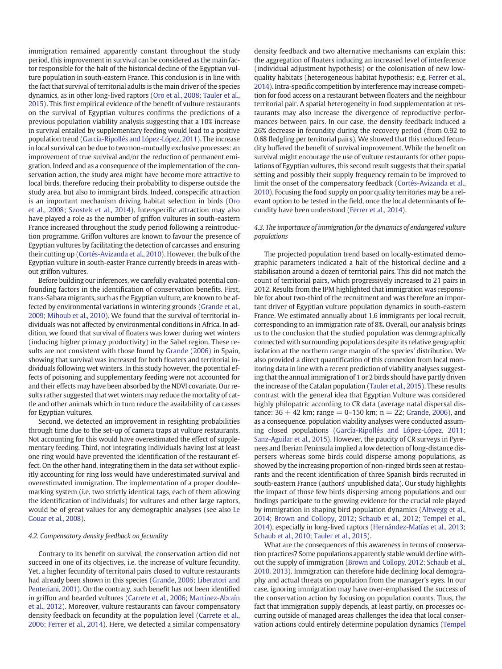immigration remained apparently constant throughout the study period, this improvement in survival can be considered as the main factor responsible for the halt of the historical decline of the Egyptian vulture population in south-eastern France. This conclusion is in line with the fact that survival of territorial adults is the main driver of the species dynamics, as in other long-lived raptors (Oro et al., 2008; Tauler et al., 2015). This first empirical evidence of the benefit of vulture restaurants on the survival of Egyptian vultures confirms the predictions of a previous population viability analysis suggesting that a 10% increase in survival entailed by supplementary feeding would lead to a positive population trend (García-Ripollés and López-López, 2011). The increase in local survival can be due to two non-mutually exclusive processes: an improvement of true survival and/or the reduction of permanent emigration. Indeed and as a consequence of the implementation of the conservation action, the study area might have become more attractive to local birds, therefore reducing their probability to disperse outside the study area, but also to immigrant birds. Indeed, conspecific attraction is an important mechanism driving habitat selection in birds (Oro et al., 2008; Szostek et al., 2014). Interspecific attraction may also have played a role as the number of griffon vultures in south-eastern France increased throughout the study period following a reintroduction programme. Griffon vultures are known to favour the presence of Egyptian vultures by facilitating the detection of carcasses and ensuring their cutting up (Cortés-Avizanda et al., 2010). However, the bulk of the Egyptian vulture in south-easter France currently breeds in areas without griffon vultures.

Before building our inferences, we carefully evaluated potential confounding factors in the identification of conservation benefits. First, trans-Sahara migrants, such as the Egyptian vulture, are known to be affected by environmental variations in wintering grounds (Grande et al., 2009; Mihoub et al., 2010). We found that the survival of territorial individuals was not affected by environmental conditions in Africa. In addition, we found that survival of floaters was lower during wet winters (inducing higher primary productivity) in the Sahel region. These results are not consistent with those found by Grande (2006) in Spain, showing that survival was increased for both floaters and territorial individuals following wet winters. In this study however, the potential effects of poisoning and supplementary feeding were not accounted for and their effects may have been absorbed by the NDVI covariate. Our results rather suggested that wet winters may reduce the mortality of cattle and other animals which in turn reduce the availability of carcasses for Egyptian vultures.

Second, we detected an improvement in resighting probabilities through time due to the set-up of camera traps at vulture restaurants. Not accounting for this would have overestimated the effect of supplementary feeding. Third, not integrating individuals having lost at least one ring would have prevented the identification of the restaurant effect. On the other hand, integrating them in the data set without explicitly accounting for ring loss would have underestimated survival and overestimated immigration. The implementation of a proper doublemarking system (i.e. two strictly identical tags, each of them allowing the identification of individuals) for vultures and other large raptors, would be of great values for any demographic analyses (see also Le Gouar et al., 2008).

#### 4.2. Compensatory density feedback on fecundity

Contrary to its benefit on survival, the conservation action did not succeed in one of its objectives, i.e. the increase of vulture fecundity. Yet, a higher fecundity of territorial pairs closed to vulture restaurants had already been shown in this species (Grande, 2006; Liberatori and Penteriani, 2001). On the contrary, such benefit has not been identified in griffon and bearded vultures (Carrete et al., 2006; Martínez-Abraín et al., 2012). Moreover, vulture restaurants can favour compensatory density feedback on fecundity at the population level (Carrete et al., 2006; Ferrer et al., 2014). Here, we detected a similar compensatory

density feedback and two alternative mechanisms can explain this: the aggregation of floaters inducing an increased level of interference (individual adjustment hypothesis) or the colonisation of new lowquality habitats (heterogeneous habitat hypothesis; e.g. Ferrer et al., 2014). Intra-specific competition by interference may increase competition for food access on a restaurant between floaters and the neighbour territorial pair. A spatial heterogeneity in food supplementation at restaurants may also increase the divergence of reproductive performances between pairs. In our case, the density feedback induced a 26% decrease in fecundity during the recovery period (from 0.92 to 0.68 fledgling per territorial pairs). We showed that this reduced fecundity buffered the benefit of survival improvement. While the benefit on survival might encourage the use of vulture restaurants for other populations of Egyptian vultures, this second result suggests that their spatial setting and possibly their supply frequency remain to be improved to limit the onset of the compensatory feedback (Cortés-Avizanda et al., 2010). Focusing the food supply on poor quality territories may be a relevant option to be tested in the field, once the local determinants of fecundity have been understood (Ferrer et al., 2014).

### 4.3. The importance of immigration for the dynamics of endangered vulture populations

The projected population trend based on locally-estimated demographic parameters indicated a halt of the historical decline and a stabilisation around a dozen of territorial pairs. This did not match the count of territorial pairs, which progressively increased to 21 pairs in 2012. Results from the IPM highlighted that immigration was responsible for about two-third of the recruitment and was therefore an important driver of Egyptian vulture population dynamics in south-eastern France. We estimated annually about 1.6 immigrants per local recruit, corresponding to an immigration rate of 8%. Overall, our analysis brings us to the conclusion that the studied population was demographically connected with surrounding populations despite its relative geographic isolation at the northern range margin of the species' distribution. We also provided a direct quantification of this connexion from local monitoring data in line with a recent prediction of viability analyses suggesting that the annual immigration of 1 or 2 birds should have partly driven the increase of the Catalan population (Tauler et al., 2015). These results contrast with the general idea that Egyptian Vulture was considered highly philopatric according to CR data (average natal dispersal distance:  $36 \pm 42$  km; range = 0–150 km; n = 22; Grande, 2006), and as a consequence, population viability analyses were conducted assuming closed populations (García-Ripollés and López-López, 2011; Sanz-Aguilar et al., 2015). However, the paucity of CR surveys in Pyrenees and Iberian Peninsula implied a low detection of long-distance dispersers whereas some birds could disperse among populations, as showed by the increasing proportion of non-ringed birds seen at restaurants and the recent identification of three Spanish birds recruited in south-eastern France (authors' unpublished data). Our study highlights the impact of those few birds dispersing among populations and our findings participate to the growing evidence for the crucial role played by immigration in shaping bird population dynamics (Altwegg et al., 2014; Brown and Collopy, 2012; Schaub et al., 2012; Tempel et al., 2014), especially in long-lived raptors (Hernández-Matías et al., 2013; Schaub et al., 2010; Tauler et al., 2015).

What are the consequences of this awareness in terms of conservation practices? Some populations apparently stable would decline without the supply of immigration (Brown and Collopy, 2012; Schaub et al., 2010, 2013). Immigration can therefore hide declining local demography and actual threats on population from the manager's eyes. In our case, ignoring immigration may have over-emphasised the success of the conservation action by focusing on population counts. Thus, the fact that immigration supply depends, at least partly, on processes occurring outside of managed areas challenges the idea that local conservation actions could entirely determine population dynamics (Tempel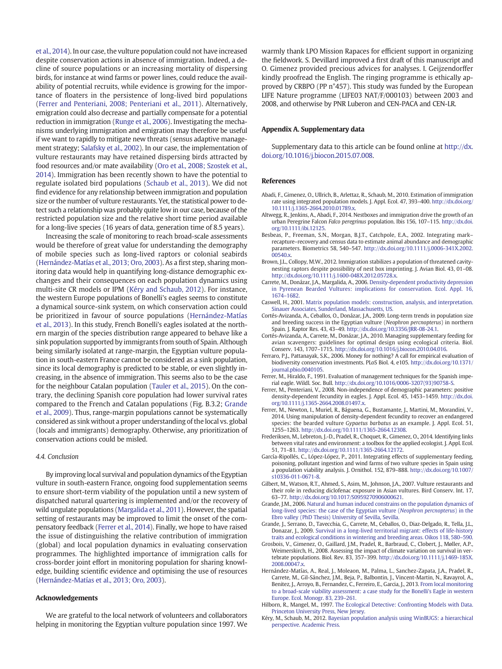et al., 2014). In our case, the vulture population could not have increased despite conservation actions in absence of immigration. Indeed, a decline of source populations or an increasing mortality of dispersing birds, for instance at wind farms or power lines, could reduce the availability of potential recruits, while evidence is growing for the importance of floaters in the persistence of long-lived bird populations (Ferrer and Penteriani, 2008; Penteriani et al., 2011). Alternatively, emigration could also decrease and partially compensate for a potential reduction in immigration (Runge et al., 2006). Investigating the mechanisms underlying immigration and emigration may therefore be useful if we want to rapidly to mitigate new threats (sensus adaptive management strategy; Salafsky et al., 2002). In our case, the implementation of vulture restaurants may have retained dispersing birds attracted by food resources and/or mate availability (Oro et al., 2008; Szostek et al., 2014). Immigration has been recently shown to have the potential to regulate isolated bird populations (Schaub et al., 2013). We did not find evidence for any relationship between immigration and population size or the number of vulture restaurants. Yet, the statistical power to detect such a relationship was probably quite low in our case, because of the restricted population size and the relative short time period available for a long-live species (16 years of data, generation time of 8.5 years).

Increasing the scale of monitoring to reach broad-scale assessments would be therefore of great value for understanding the demography of mobile species such as long-lived raptors or colonial seabirds (Hernández-Matías et al., 2013; Oro, 2003). As a first step, sharing monitoring data would help in quantifying long-distance demographic exchanges and their consequences on each population dynamics using multi-site CR models or IPM (Kéry and Schaub, 2012). For instance, the western Europe populations of Bonelli's eagles seems to constitute a dynamical source-sink system, on which conservation action could be prioritized in favour of source populations (Hernández-Matías et al., 2013). In this study, French Bonelli's eagles isolated at the northern margin of the species distribution range appeared to behave like a sink population supported by immigrants from south of Spain. Although being similarly isolated at range-margin, the Egyptian vulture population in south-eastern France cannot be considered as a sink population, since its local demography is predicted to be stable, or even slightly increasing, in the absence of immigration. This seems also to be the case for the neighbour Catalan population (Tauler et al., 2015). On the contrary, the declining Spanish core population had lower survival rates compared to the French and Catalan populations (Fig. B.3.2; Grande et al., 2009). Thus, range-margin populations cannot be systematically considered as sink without a proper understanding of the local vs. global (locals and immigrants) demography. Otherwise, any prioritization of conservation actions could be misled.

#### 4.4. Conclusion

By improving local survival and population dynamics of the Egyptian vulture in south-eastern France, ongoing food supplementation seems to ensure short-term viability of the population until a new system of dispatched natural quartering is implemented and/or the recovery of wild ungulate populations (Margalida et al., 2011). However, the spatial setting of restaurants may be improved to limit the onset of the compensatory feedback (Ferrer et al., 2014). Finally, we hope to have raised the issue of distinguishing the relative contribution of immigration (global) and local population dynamics in evaluating conservation programmes. The highlighted importance of immigration calls for cross-border joint effort in monitoring population for sharing knowledge, building scientific evidence and optimising the use of resources (Hernández-Matías et al., 2013; Oro, 2003).

#### Acknowledgements

We are grateful to the local network of volunteers and collaborators helping in monitoring the Egyptian vulture population since 1997. We warmly thank LPO Mission Rapaces for efficient support in organizing the fieldwork. S. Devillard improved a first draft of this manuscript and O. Gimenez provided precious advices for analyses. I. Geijzendorffer kindly proofread the English. The ringing programme is ethically approved by CRBPO (PP n°457). This study was funded by the European LIFE Nature programme (LIFE03 NAT/F/000103) between 2003 and 2008, and otherwise by PNR Luberon and CEN-PACA and CEN-LR.

#### Appendix A. Supplementary data

Supplementary data to this article can be found online at [http://dx.](http://dx.doi.org/10.1016/j.biocon.2015.07.008) [doi.org/10.1016/j.biocon.2015.07.008](http://dx.doi.org/10.1016/j.biocon.2015.07.008).

#### References

- Abadi, F., Gimenez, O., Ullrich, B., Arlettaz, R., Schaub, M., 2010. Estimation of immigration rate using integrated population models. J. Appl. Ecol. 47, 393–400. http://dx.doi.org/ [10.1111/j.1365-2664.2010.01789.x](http://dx.doi.org/10.1111/j.1365-2664.2010.01789.x).
- Altwegg, R., Jenkins, A., Abadi, F., 2014. Nestboxes and immigration drive the growth of an urban Peregrine Falcon Falco peregrinus population. Ibis 156, 107–115. http://dx.doi. org[/10.1111/ibi.12125](http://dx.doi.org/10.1111/ibi.12125).
- Besbeas, P., Freeman, S.N., Morgan, B.J.T., Catchpole, E.A., 2002. Integrating mark– recapture–recovery and census data to estimate animal abundance and demographic parameters. Biometrics 58, 540–547. http://dx.doi.org[/10.1111/j.0006-341X.2002.](http://dx.doi.org/10.1111/j.0006-341X.2002.00540.x) 00540 x
- Brown, J.L., Collopy, M.W., 2012. Immigration stabilizes a population of threatened cavitynesting raptors despite possibility of nest box imprinting. J. Avian Biol. 43, 01–08. http://dx.doi.org[/10.1111/j.1600-048X.2012.05728.x](http://dx.doi.org/10.1111/j.1600-048X.2012.05728.x).
- Carrete, M., Donázar, J.A., Margalida, A., 2006. [Density-dependent productivity depression](http://refhub.elsevier.com/S0006-3207(15)30015-X/rf0020) [in Pyrenean Bearded Vultures: implications for conservation. Ecol. Appl. 16,](http://refhub.elsevier.com/S0006-3207(15)30015-X/rf0020) [1674](http://refhub.elsevier.com/S0006-3207(15)30015-X/rf0020)–1682.
- Caswell, H., 2001. [Matrix population models: construction, analysis, and interpretation.](http://refhub.elsevier.com/S0006-3207(15)30015-X/rf0250) [Sinauer Associates, Sunderland, Massachusetts, US](http://refhub.elsevier.com/S0006-3207(15)30015-X/rf0250).
- Cortés-Avizanda, A., Ceballos, O., Donázar, J.A., 2009. Long-term trends in population size and breeding success in the Egyptian vulture (Neophron percnopterus) in northern Spain. J. Raptor Res. 43, 43–49. http://dx.doi.org[/10.3356/JRR-08-24.1.](http://dx.doi.org/10.3356/JRR-08-24.1)
- Cortés-Avizanda, A., Carrete, M., Donázar, J.A., 2010. Managing supplementary feeding for avian scavengers: guidelines for optimal design using ecological criteria. Biol. Conserv. 143, 1707–1715. http://dx.doi.org[/10.1016/j.biocon.2010.04.016.](http://dx.doi.org/10.1016/j.biocon.2010.04.016)
- Ferraro, P.J., Pattanayak, S.K., 2006. Money for nothing? A call for empirical evaluation of biodiversity conservation investments. PLoS Biol. 4, e105. http://dx.doi.org[/10.1371/](http://dx.doi.org/10.1371/journal.pbio.0040105) [journal.pbio.0040105.](http://dx.doi.org/10.1371/journal.pbio.0040105)
- Ferrer, M., Hiraldo, F., 1991. Evaluation of management techniques for the Spanish imperial eagle. Wildl. Soc. Bull. http://dx.doi.org[/10.1016/0006-3207\(93\)90758-S](http://dx.doi.org/10.1016/0006-3207(93)90758-S).
- Ferrer, M., Penteriani, V., 2008. Non-independence of demographic parameters: positive density-dependent fecundity in eagles. J. Appl. Ecol. 45, 1453–1459. http://dx.doi. org[/10.1111/j.1365-2664.2008.01497.x.](http://dx.doi.org/10.1111/j.1365-2664.2008.01497.x)
- Ferrer, M., Newton, I., Muriel, R., Báguena, G., Bustamante, J., Martini, M., Morandini, V., 2014. Using manipulation of density-dependent fecundity to recover an endangered species: the bearded vulture Gypaetus barbatus as an example. J. Appl. Ecol. 51, 1255–1263. http://dx.doi.org[/10.1111/1365-2664.12308](http://dx.doi.org/10.1111/1365-2664.12308).
- Frederiksen, M., Lebreton, J.-D., Pradel, R., Choquet, R., Gimenez, O., 2014. Identifying links between vital rates and environment: a toolbox for the applied ecologist. J. Appl. Ecol. 51, 71–81. http://dx.doi.org/[10.1111/1365-2664.12172.](http://dx.doi.org/10.1111/1365-2664.12172)
- García-Ripollés, C., López-López, P., 2011. Integrating effects of supplementary feeding, poisoning, pollutant ingestion and wind farms of two vulture species in Spain using a population viability analysis. J. Ornithol. 152, 879–888. http://dx.doi.org[/10.1007/](http://dx.doi.org/10.1007/s10336-011-0671-8) [s10336-011-0671-8.](http://dx.doi.org/10.1007/s10336-011-0671-8)
- Gilbert, M., Watson, R.T., Ahmed, S., Asim, M., Johnson, J.A., 2007. Vulture restaurants and their role in reducing diclofenac exposure in Asian vultures. Bird Conserv. Int. 17, 63–77. http://dx.doi.org[/10.1017/S0959270906000621](http://dx.doi.org/10.1017/S0959270906000621).
- Grande, J.M., 2006. [Natural and human induced constrains on the population dynamics of](http://refhub.elsevier.com/S0006-3207(15)30015-X/rf0255) [long-lived species: the case of the Egyptian vulture \(](http://refhub.elsevier.com/S0006-3207(15)30015-X/rf0255)Neophron percnopterus) in the [Ebro valley \(PhD Thesis\) University of Sevilla, Sevilla](http://refhub.elsevier.com/S0006-3207(15)30015-X/rf0255).
- Grande, J., Serrano, D., Tavecchia, G., Carrete, M., Ceballos, O., Diaz-Delgado, R., Tella, J.L., Donazar, J., 2009. [Survival in a long-lived territorial migrant: effects of life-history](http://refhub.elsevier.com/S0006-3207(15)30015-X/rf0075) [traits and ecological conditions in wintering and breeding areas. Oikos 118, 580](http://refhub.elsevier.com/S0006-3207(15)30015-X/rf0075)–590.
- Grosbois, V., Gimenez, O., Gaillard, J.M., Pradel, R., Barbraud, C., Clobert, J., Møller, A.P., Weimerskirch, H., 2008. Assessing the impact of climate variation on survival in vertebrate populations. Biol. Rev. 83, 357–399. http://dx.doi.org[/10.1111/j.1469-185X.](http://dx.doi.org/10.1111/j.1469-185X.2008.00047.x) [2008.00047.x.](http://dx.doi.org/10.1111/j.1469-185X.2008.00047.x)
- Hernández-Matías, A., Real, J., Moleaon, M., Palma, L., Sanchez-Zapata, J.A., Pradel, R., Carrete, M., Gil-Sánchez, J.M., Beja, P., Balbontin, J., Vincent-Martin, N., Ravayrol, A., Benitez, J., Arroyo, B., Fernandez, C., Ferreiro, E., Garcia, J., 2013. [From local monitoring](http://refhub.elsevier.com/S0006-3207(15)30015-X/rf0085) [to a broad-scale viability assessment: a case study for the Bonelli's Eagle in western](http://refhub.elsevier.com/S0006-3207(15)30015-X/rf0085) [Europe. Ecol. Monogr. 83, 239](http://refhub.elsevier.com/S0006-3207(15)30015-X/rf0085)–261.
- Hilborn, R., Mangel, M., 1997. [The Ecological Detective: Confronting Models with Data.](http://refhub.elsevier.com/S0006-3207(15)30015-X/rf0090) [Princeton University Press, New Jersey](http://refhub.elsevier.com/S0006-3207(15)30015-X/rf0090).
- Kéry, M., Schaub, M., 2012. [Bayesian population analysis using WinBUGS: a hierarchical](http://refhub.elsevier.com/S0006-3207(15)30015-X/rf0095) [perspective. Academic Press](http://refhub.elsevier.com/S0006-3207(15)30015-X/rf0095).